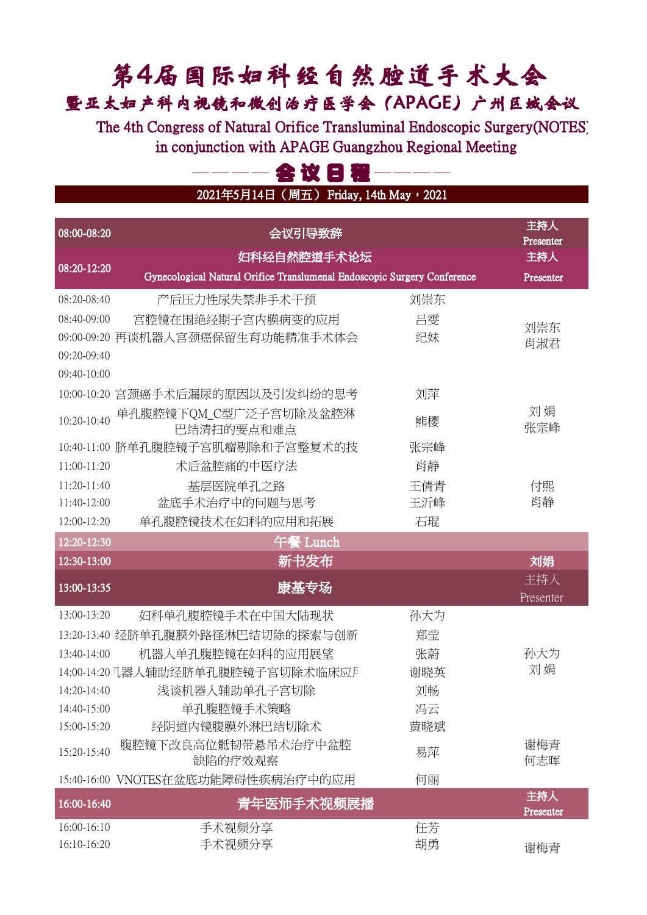## 第4届国际妇科经自然腔道手术大会 暨亚太妇产科内视镜和微创治疗医学会(APAGE)广州区域会议

The 4th Congress of Natural Orifice Transluminal Endoscopic Surgery(NOTES) in conjunction with APAGE Guangzhou Regional Meeting

## 会议日程-

2021年5月14日 (周五) Friday, 14th May, 2021

| 08:00-08:20   | 会议引导致辞                                                                   |     | 主持人<br>Presenter |
|---------------|--------------------------------------------------------------------------|-----|------------------|
|               | 妇科经自然腔道手术论坛                                                              |     | 主持人              |
| 08:20-12:20   | Gynecological Natural Orifice Translumenal Endoscopic Surgery Conference |     | Presenter        |
| 08:20-08:40   | 产后压力性尿失禁非手术干预                                                            | 刘崇东 |                  |
| 08:40-09:00   | 宫腔镜在围绝经期子宫内膜病变的应用                                                        | 吕雯  | 刘崇东              |
| 09:00-09:20   | 再谈机器人宫颈癌保留生育功能精准手术体会                                                     | 纪妹  | 肖淑君              |
| 09:20-09:40   |                                                                          |     |                  |
| 09:40-10:00   |                                                                          |     |                  |
|               | 10:00-10:20 宫颈癌手术后漏尿的原因以及引发纠纷的思考                                         | 刘萍  |                  |
| 10:20-10:40   | 单孔腹腔镜下QM_C型广泛子宫切除及盆腔淋<br>巴结清扫的要点和难点                                      | 熊樱  | 刘娟<br>张宗峰        |
|               | 10:40-11:00 脐单孔腹腔镜子宫肌瘤剔除和子宫整复术的技                                         | 张宗峰 |                  |
| 11:00-11:20   | 术后盆腔痛的中医疗法                                                               | 肖静  |                  |
| $11:20-11:40$ | 基层医院单孔之路                                                                 | 王倩青 | 付熙               |
| 11:40-12:00   | 盆底手术治疗中的问题与思考                                                            | 王沂峰 | 肖静               |
| $12:00-12:20$ | 单孔腹腔镜技术在妇科的应用和拓展                                                         | 石琨  |                  |
| 12:20-12:30   | 午餐 Lunch                                                                 |     |                  |
| 12:30-13:00   | 新书发布                                                                     |     | 刘娟               |
| 13:00-13:35   | 康基专场                                                                     |     | 主持人<br>Presenter |
| 13:00-13:20   | 妇科单孔腹腔镜手术在中国大陆现状                                                         | 孙大为 |                  |
|               | 13:20-13:40 经脐单孔腹膜外路径淋巴结切除的探索与创新                                         | 郑莹  |                  |
| $13:40-14:00$ | 机器人单孔腹腔镜在妇科的应用展望                                                         | 张蔚  | 孙大为              |
|               |                                                                          | 谢晓英 | 刘娟               |
| 14:20-14:40   | 浅谈机器人辅助单孔子宫切除                                                            | 刘畅  |                  |
| 14:40-15:00   | 单孔腹腔镜手术策略                                                                | 冯云  |                  |
| 15:00-15:20   | 经阴道内镜腹膜外淋巴结切除术                                                           | 黄晓斌 |                  |
| 15:20-15:40   | 腹腔镜下改良高位骶韧带悬吊术治疗中盆腔<br>缺陷的疗效观察                                           | 易萍  | 谢梅青<br>何志晖       |
|               | 15:40-16:00 VNOTES在盆底功能障碍性疾病治疗中的应用                                       | 何丽  |                  |
| 16:00-16:40   | 青年医师手术视频展播                                                               |     | 主持人<br>Presenter |
| 16:00-16:10   | 手术视频分享                                                                   | 任芳  |                  |
| 16:10-16:20   | 手术视频分享                                                                   | 胡勇  | 谢梅青              |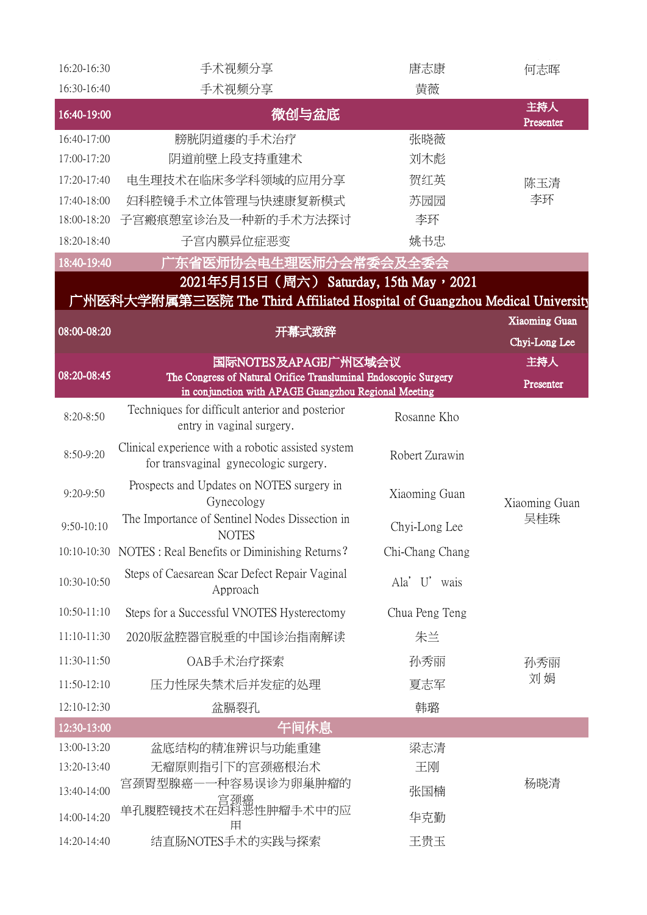| 16:20-16:30   | 手术视频分享                                                                                      | 唐志康             | 何志晖                  |
|---------------|---------------------------------------------------------------------------------------------|-----------------|----------------------|
| 16:30-16:40   | 手术视频分享                                                                                      | 黄薇              |                      |
| 16:40-19:00   | 微创与盆底                                                                                       |                 | 主持人<br>Presenter     |
| 16:40-17:00   | 膀胱阴道瘘的手术治疗                                                                                  | 张晓薇             |                      |
| 17:00-17:20   | 阴道前壁上段支持重建术                                                                                 | 刘木彪             |                      |
| 17:20-17:40   | 电生理技术在临床多学科领域的应用分享                                                                          | 贺红英             | 陈玉清                  |
| 17:40-18:00   | 妇科腔镜手术立体管理与快速康复新模式                                                                          | 苏园园             | 李环                   |
| 18:00-18:20   | 子宫瘢痕憩室诊治及一种新的手术方法探讨                                                                         | 李环              |                      |
| 18:20-18:40   | 子宫内膜异位症恶变                                                                                   | 姚书忠             |                      |
| 18:40-19:40   | <sup>一</sup> 东省医师协会电生理医师分会常委会及全委会                                                           |                 |                      |
|               | 2021年5月15日 (周六) Saturday, 15th May, 2021                                                    |                 |                      |
|               | 广州医科大学附属第三医院 The Third Affiliated Hospital of Guangzhou Medical University                  |                 |                      |
| 08:00-08:20   | 开幕式致辞                                                                                       |                 | <b>Xiaoming Guan</b> |
|               |                                                                                             |                 | Chyi-Long Lee        |
| 08:20-08:45   | 国际NOTES及APAGE广州区域会议<br>The Congress of Natural Orifice Transluminal Endoscopic Surgery      |                 | 主持人                  |
|               | in conjunction with APAGE Guangzhou Regional Meeting                                        |                 | Presenter            |
| $8:20 - 8:50$ | Techniques for difficult anterior and posterior<br>entry in vaginal surgery.                | Rosanne Kho     |                      |
| 8:50-9:20     | Clinical experience with a robotic assisted system<br>for transvaginal gynecologic surgery. | Robert Zurawin  |                      |
| $9:20 - 9:50$ | Prospects and Updates on NOTES surgery in<br>Gynecology                                     | Xiaoming Guan   | Xiaoming Guan        |
| $9:50-10:10$  | The Importance of Sentinel Nodes Dissection in<br><b>NOTES</b>                              | Chyi-Long Lee   | 吴桂珠                  |
|               | 10:10-10:30 NOTES : Real Benefits or Diminishing Returns?                                   | Chi-Chang Chang |                      |
| 10:30-10:50   | Steps of Caesarean Scar Defect Repair Vaginal<br>Approach                                   | Ala' U' wais    |                      |
| 10:50-11:10   | Steps for a Successful VNOTES Hysterectomy                                                  | Chua Peng Teng  |                      |
| 11:10-11:30   | 2020版盆腔器官脱垂的中国诊治指南解读                                                                        | 朱兰              |                      |
| 11:30-11:50   | OAB手术治疗探索                                                                                   | 孙秀丽             | 孙秀丽                  |
| 11:50-12:10   | 压力性尿失禁术后并发症的处理                                                                              | 夏志军             | 刘娟                   |
| 12:10-12:30   | 盆膈裂孔                                                                                        | 韩璐              |                      |
| 12:30-13:00   | 午间休息                                                                                        |                 |                      |
| 13:00-13:20   | 盆底结构的精准辨识与功能重建                                                                              | 梁志清             |                      |
| 13:20-13:40   | 无瘤原则指引下的宫颈癌根治术                                                                              | 王刚              |                      |
| 13:40-14:00   | 宫颈胃型腺癌——种容易误诊为卵巢肿瘤的                                                                         | 张国楠             | 杨晓清                  |
| 14:00-14:20   | 宫颈癌<br>单孔腹腔镜技术在妇科恶性肿瘤手术中的应<br>用                                                             | 华克勤             |                      |
| 14:20-14:40   | 结直肠NOTES手术的实践与探索                                                                            | 王贵玉             |                      |